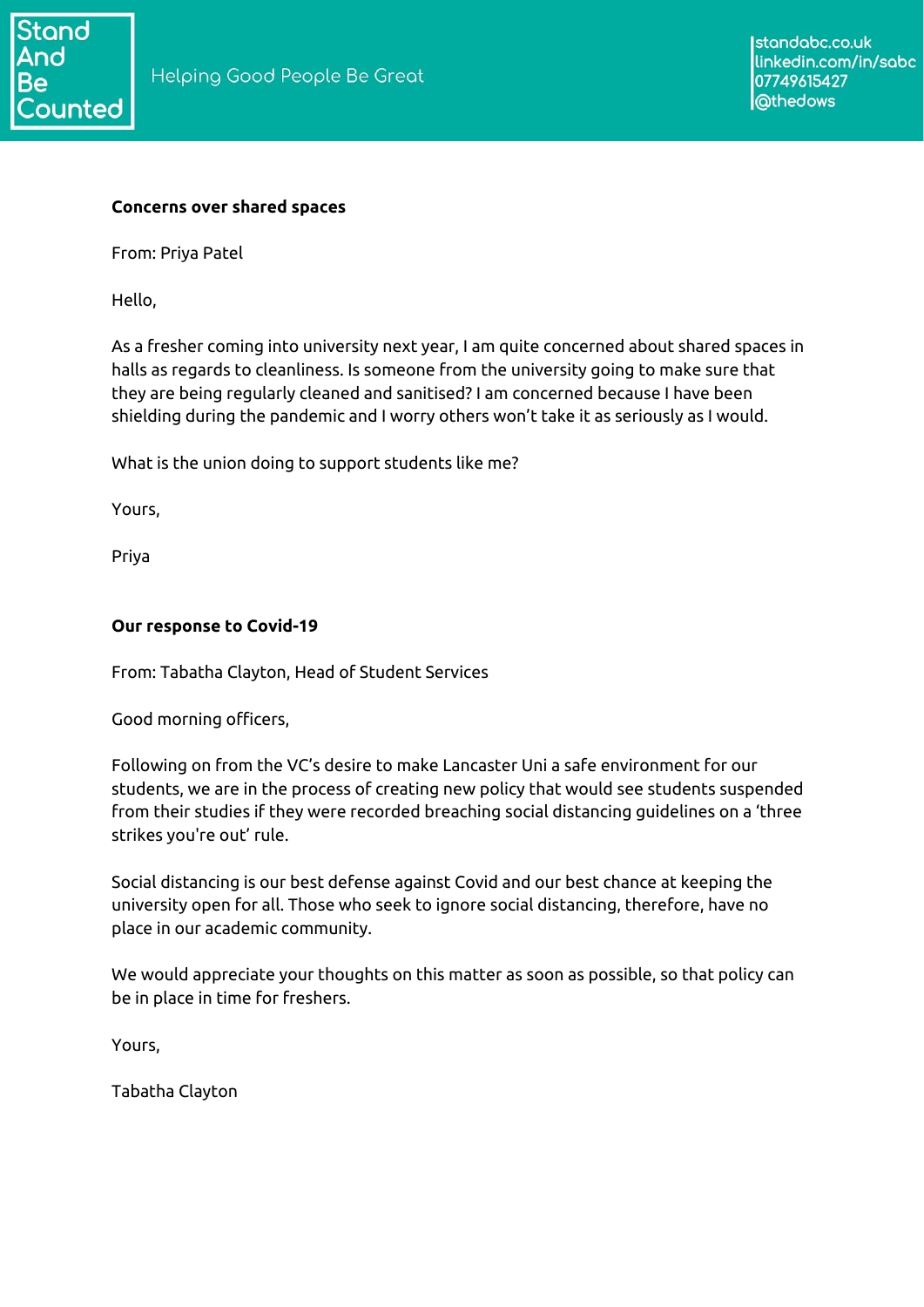

#### **Concerns over shared spaces**

From: Priya Patel

Hello,

As a fresher coming into university next year, I am quite concerned about shared spaces in halls as regards to cleanliness. Is someone from the university going to make sure that they are being regularly cleaned and sanitised? I am concerned because I have been shielding during the pandemic and I worry others won't take it as seriously as I would.

What is the union doing to support students like me?

Yours,

Priya

#### **Our response to Covid-19**

From: Tabatha Clayton, Head of Student Services

Good morning officers,

Following on from the VC's desire to make Lancaster Uni a safe environment for our students, we are in the process of creating new policy that would see students suspended from their studies if they were recorded breaching social distancing guidelines on a 'three strikes you're out' rule.

Social distancing is our best defense against Covid and our best chance at keeping the university open for all. Those who seek to ignore social distancing, therefore, have no place in our academic community.

We would appreciate your thoughts on this matter as soon as possible, so that policy can be in place in time for freshers.

Yours,

Tabatha Clayton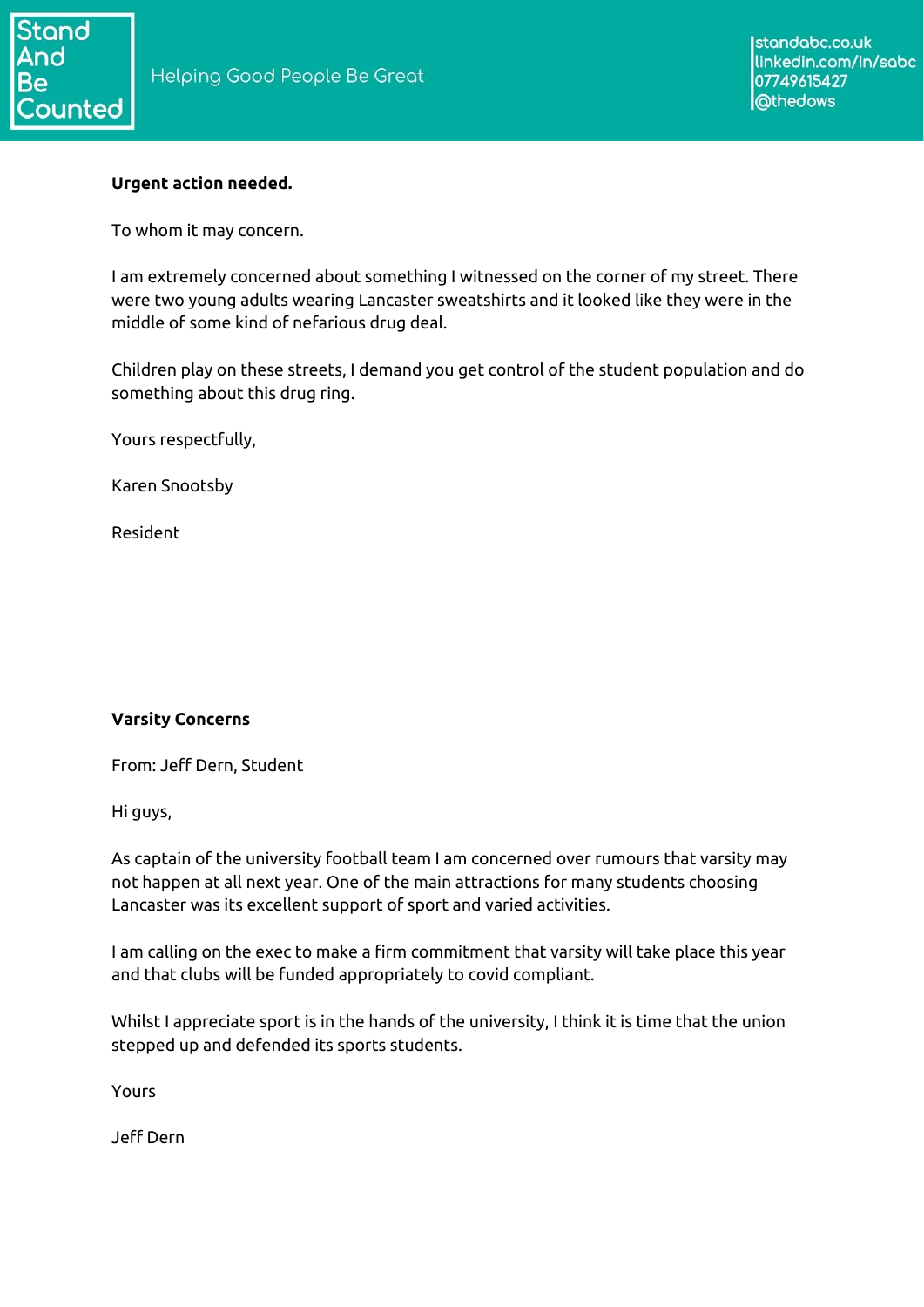

### **Urgent action needed.**

To whom it may concern.

I am extremely concerned about something I witnessed on the corner of my street. There were two young adults wearing Lancaster sweatshirts and it looked like they were in the middle of some kind of nefarious drug deal.

Children play on these streets, I demand you get control of the student population and do something about this drug ring.

Yours respectfully,

Karen Snootsby

Resident

## **Varsity Concerns**

From: Jeff Dern, Student

Hi guys,

As captain of the university football team I am concerned over rumours that varsity may not happen at all next year. One of the main attractions for many students choosing Lancaster was its excellent support of sport and varied activities.

I am calling on the exec to make a firm commitment that varsity will take place this year and that clubs will be funded appropriately to covid compliant.

Whilst I appreciate sport is in the hands of the university, I think it is time that the union stepped up and defended its sports students.

Yours

Jeff Dern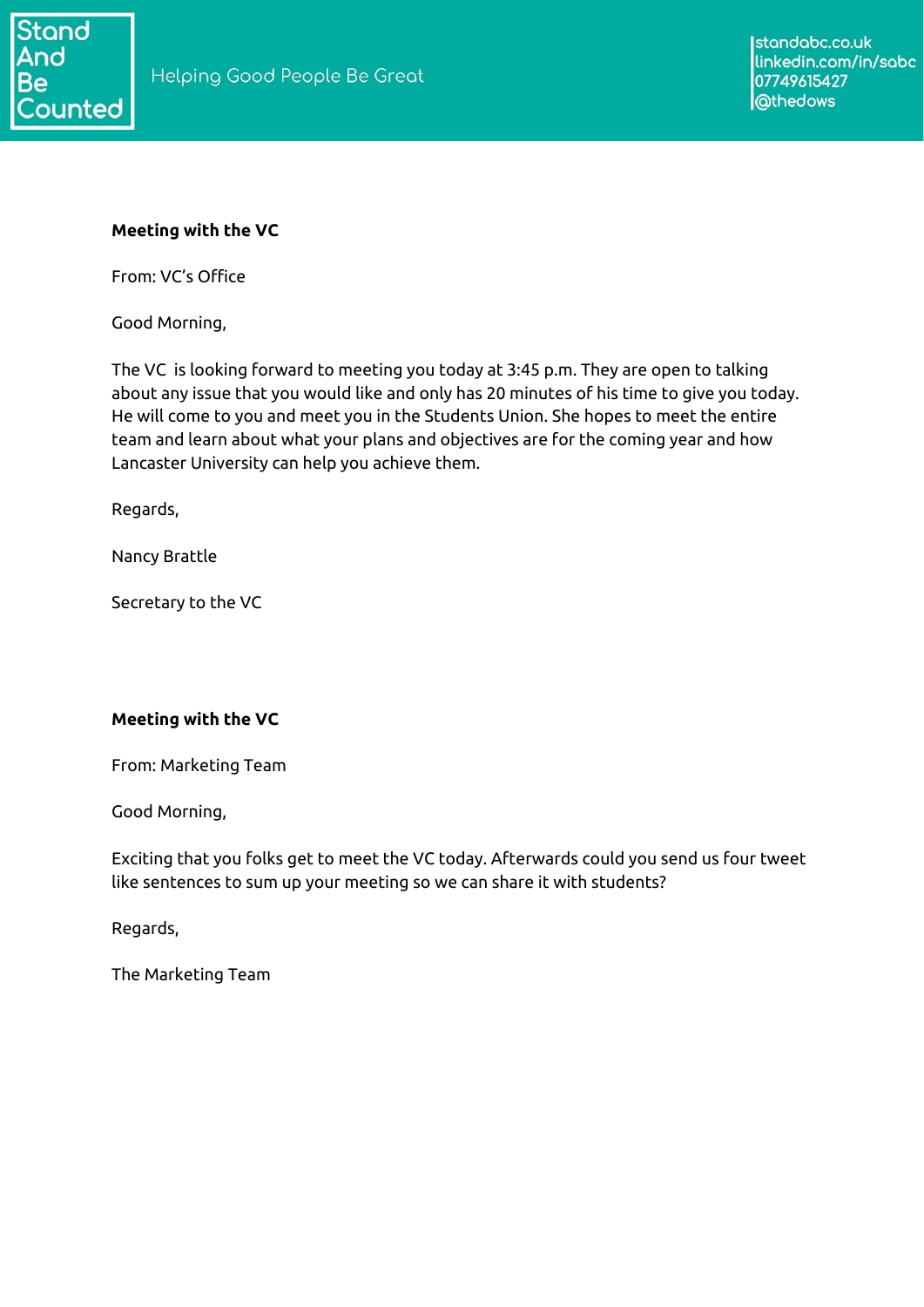

#### **Meeting with the VC**

From: VC's Office

Good Morning,

The VC is looking forward to meeting you today at 3:45 p.m. They are open to talking about any issue that you would like and only has 20 minutes of his time to give you today. He will come to you and meet you in the Students Union. She hopes to meet the entire team and learn about what your plans and objectives are for the coming year and how Lancaster University can help you achieve them.

Regards,

Nancy Brattle

Secretary to the VC

#### **Meeting with the VC**

From: Marketing Team

Good Morning,

Exciting that you folks get to meet the VC today. Afterwards could you send us four tweet like sentences to sum up your meeting so we can share it with students?

Regards,

The Marketing Team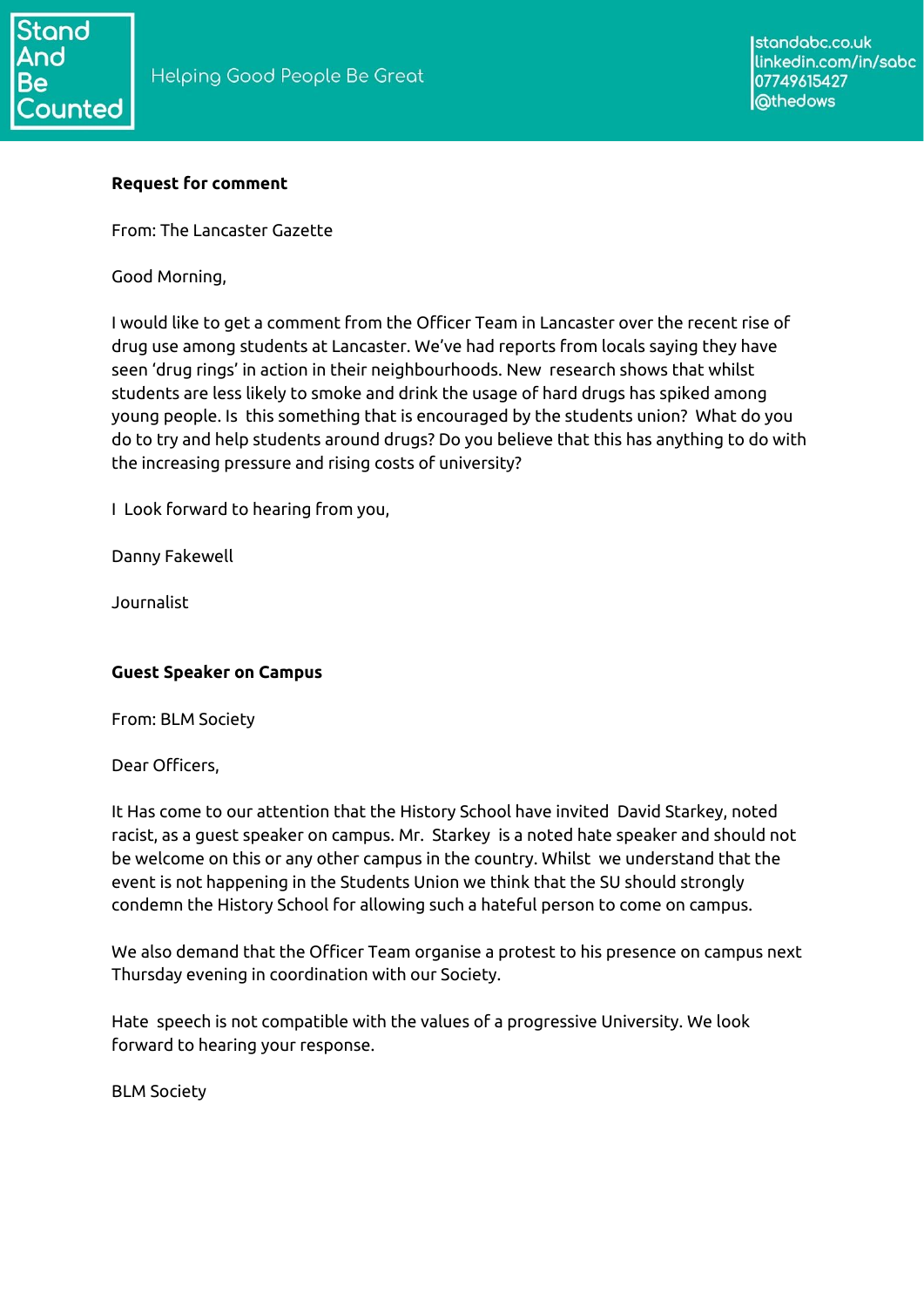## **Request for comment**

From: The Lancaster Gazette

Good Morning,

I would like to get a comment from the Officer Team in Lancaster over the recent rise of drug use among students at Lancaster. We've had reports from locals saying they have seen 'drug rings' in action in their neighbourhoods. New research shows that whilst students are less likely to smoke and drink the usage of hard drugs has spiked among young people. Is this something that is encouraged by the students union? What do you do to try and help students around drugs? Do you believe that this has anything to do with the increasing pressure and rising costs of university?

I Look forward to hearing from you,

Danny Fakewell

Journalist

## **Guest Speaker on Campus**

From: BLM Society

Dear Officers,

It Has come to our attention that the History School have invited David Starkey, noted racist, as a guest speaker on campus. Mr. Starkey is a noted hate speaker and should not be welcome on this or any other campus in the country. Whilst we understand that the event is not happening in the Students Union we think that the SU should strongly condemn the History School for allowing such a hateful person to come on campus.

We also demand that the Officer Team organise a protest to his presence on campus next Thursday evening in coordination with our Society.

Hate speech is not compatible with the values of a progressive University. We look forward to hearing your response.

BLM Society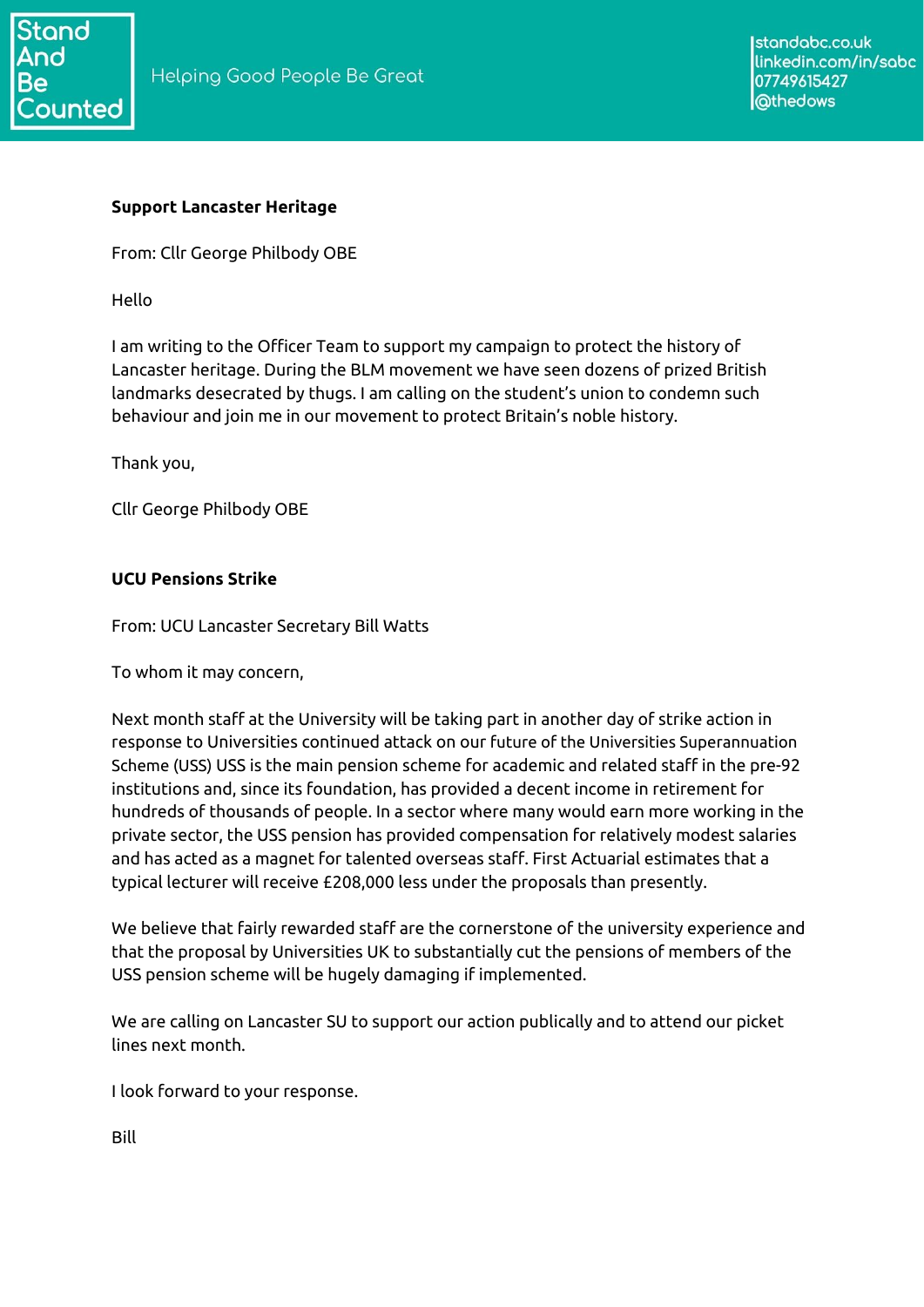

#### **Support Lancaster Heritage**

From: Cllr George Philbody OBE

Hello

I am writing to the Officer Team to support my campaign to protect the history of Lancaster heritage. During the BLM movement we have seen dozens of prized British landmarks desecrated by thugs. I am calling on the student's union to condemn such behaviour and join me in our movement to protect Britain's noble history.

Thank you,

Cllr George Philbody OBE

#### **UCU Pensions Strike**

From: UCU Lancaster Secretary Bill Watts

To whom it may concern,

Next month staff at the University will be taking part in another day of strike action in response to Universities continued attack on our future of the Universities Superannuation Scheme (USS) USS is the main pension scheme for academic and related staff in the pre-92 institutions and, since its foundation, has provided a decent income in retirement for hundreds of thousands of people. In a sector where many would earn more working in the private sector, the USS pension has provided compensation for relatively modest salaries and has acted as a magnet for talented overseas staff. First Actuarial estimates that a typical lecturer will receive £208,000 less under the proposals than presently.

We believe that fairly rewarded staff are the cornerstone of the university experience and that the proposal by Universities UK to substantially cut the pensions of members of the USS pension scheme will be hugely damaging if implemented.

We are calling on Lancaster SU to support our action publically and to attend our picket lines next month.

I look forward to your response.

Bill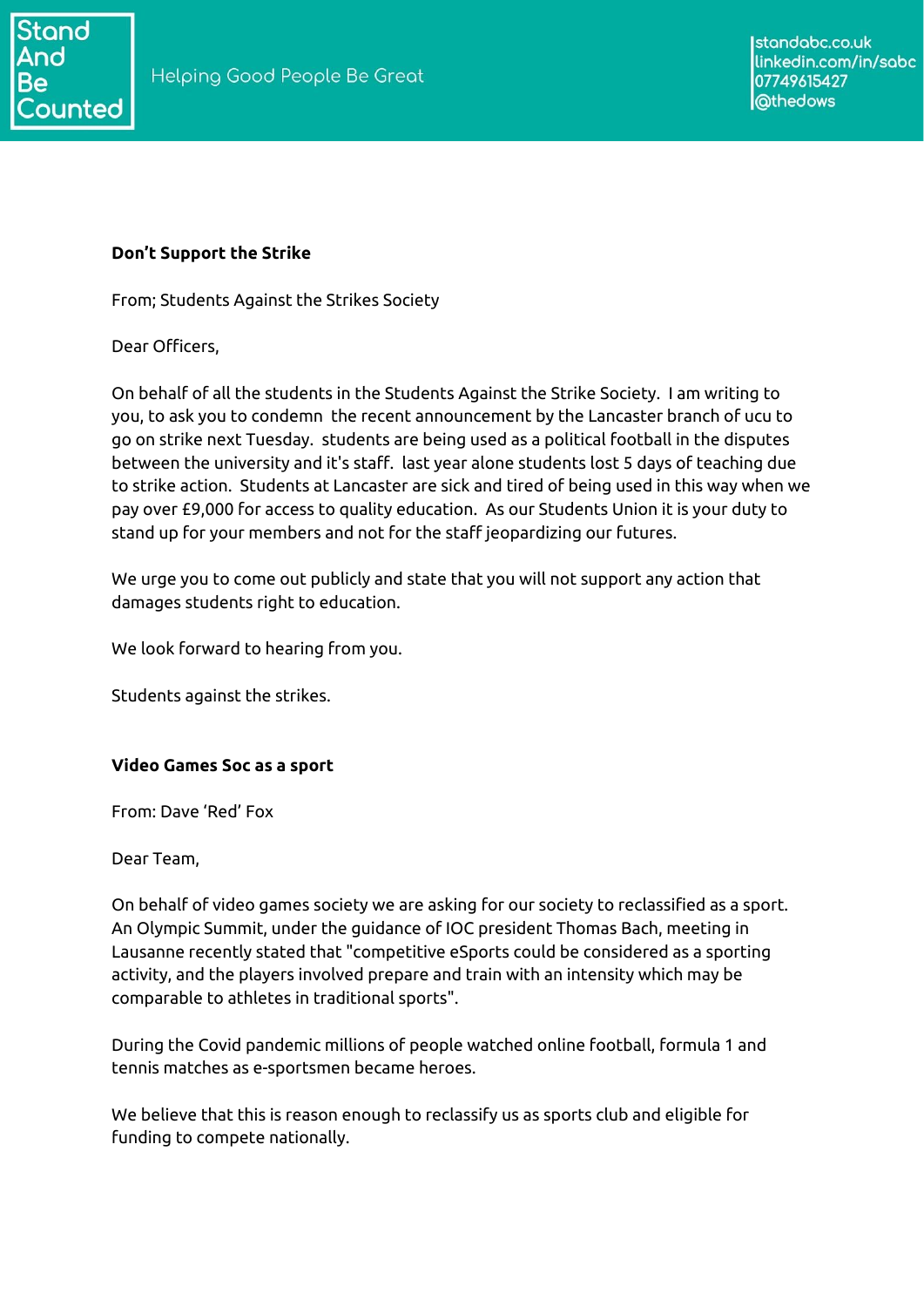

### **Don't Support the Strike**

From; Students Against the Strikes Society

Dear Officers,

On behalf of all the students in the Students Against the Strike Society. I am writing to you, to ask you to condemn the recent announcement by the Lancaster branch of ucu to go on strike next Tuesday. students are being used as a political football in the disputes between the university and it's staff. last year alone students lost 5 days of teaching due to strike action. Students at Lancaster are sick and tired of being used in this way when we pay over £9,000 for access to quality education. As our Students Union it is your duty to stand up for your members and not for the staff jeopardizing our futures.

We urge you to come out publicly and state that you will not support any action that damages students right to education.

We look forward to hearing from you.

Students against the strikes.

#### **Video Games Soc as a sport**

From: Dave 'Red' Fox

Dear Team,

On behalf of video games society we are asking for our society to reclassified as a sport. An Olympic Summit, under the guidance of IOC president Thomas Bach, meeting in Lausanne recently stated that "competitive eSports could be considered as a sporting activity, and the players involved prepare and train with an intensity which may be comparable to athletes in traditional sports".

During the Covid pandemic millions of people watched online football, formula 1 and tennis matches as e-sportsmen became heroes.

We believe that this is reason enough to reclassify us as sports club and eligible for funding to compete nationally.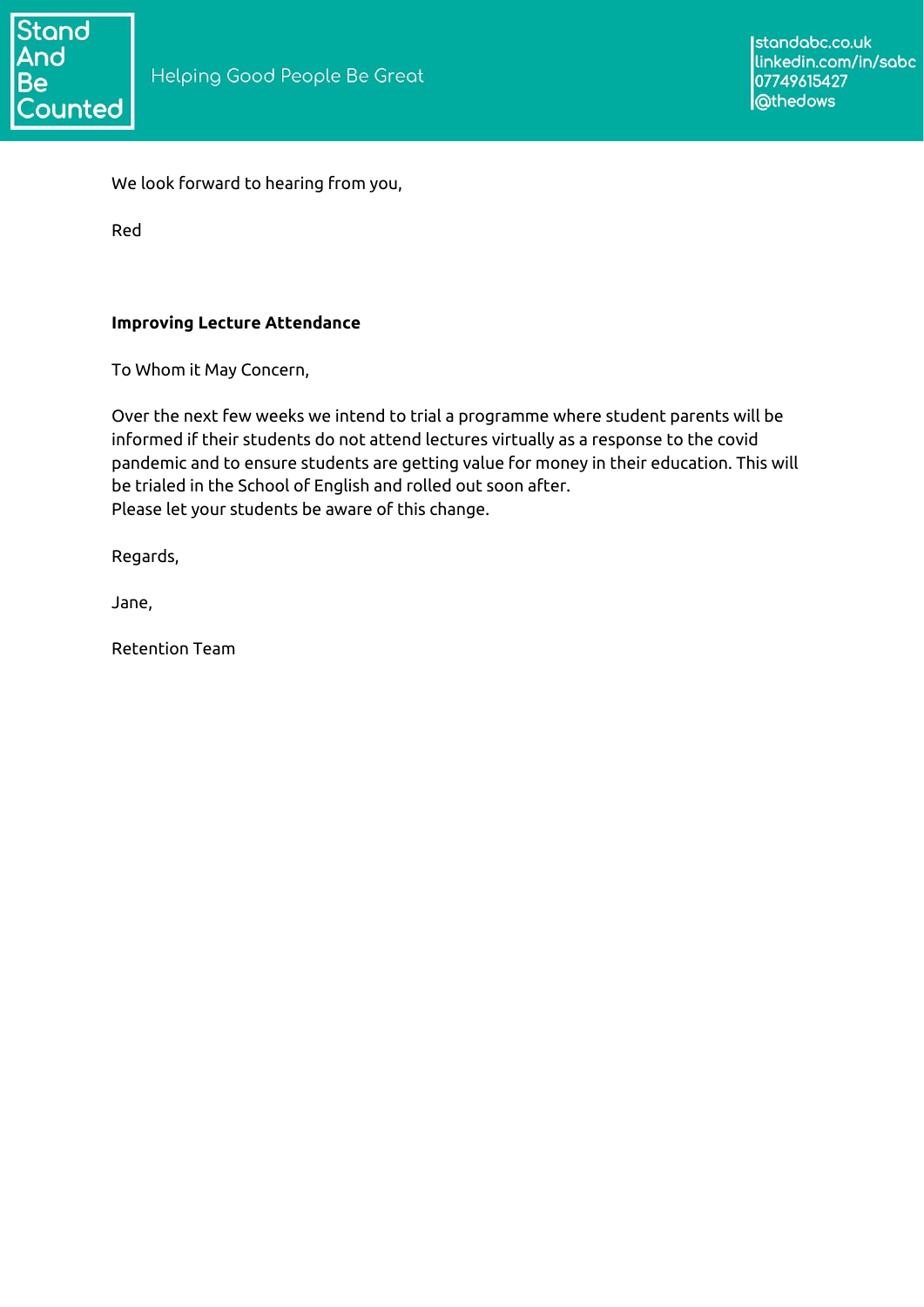

We look forward to hearing from you,

Red

### **Improving Lecture Attendance**

To Whom it May Concern,

Over the next few weeks we intend to trial a programme where student parents will be informed if their students do not attend lectures virtually as a response to the covid pandemic and to ensure students are getting value for money in their education. This will be trialed in the School of English and rolled out soon after. Please let your students be aware of this change.

Regards,

Jane,

Retention Team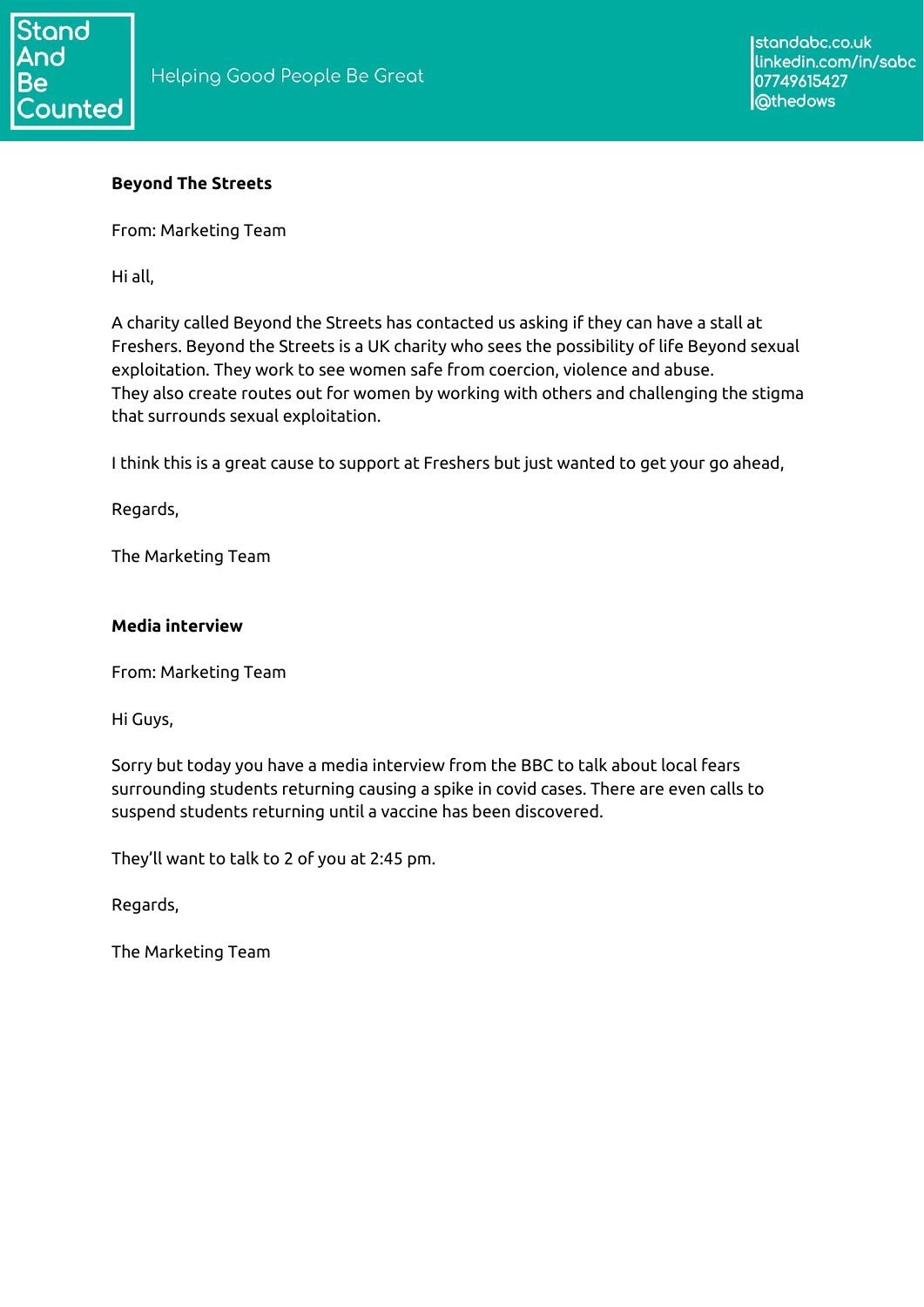## **Beyond The Streets**

From: Marketing Team

Hi all,

A charity called Beyond the Streets has contacted us asking if they can have a stall at Freshers. Beyond the Streets is a UK charity who sees the possibility of life Beyond sexual exploitation. They work to see women safe from coercion, violence and abuse. They also create routes out for women by working with others and challenging the stigma that surrounds sexual exploitation.

I think this is a great cause to support at Freshers but just wanted to get your go ahead,

Regards,

The Marketing Team

#### **Media interview**

From: Marketing Team

Hi Guys,

Sorry but today you have a media interview from the BBC to talk about local fears surrounding students returning causing a spike in covid cases. There are even calls to suspend students returning until a vaccine has been discovered.

They'll want to talk to 2 of you at 2:45 pm.

Regards,

The Marketing Team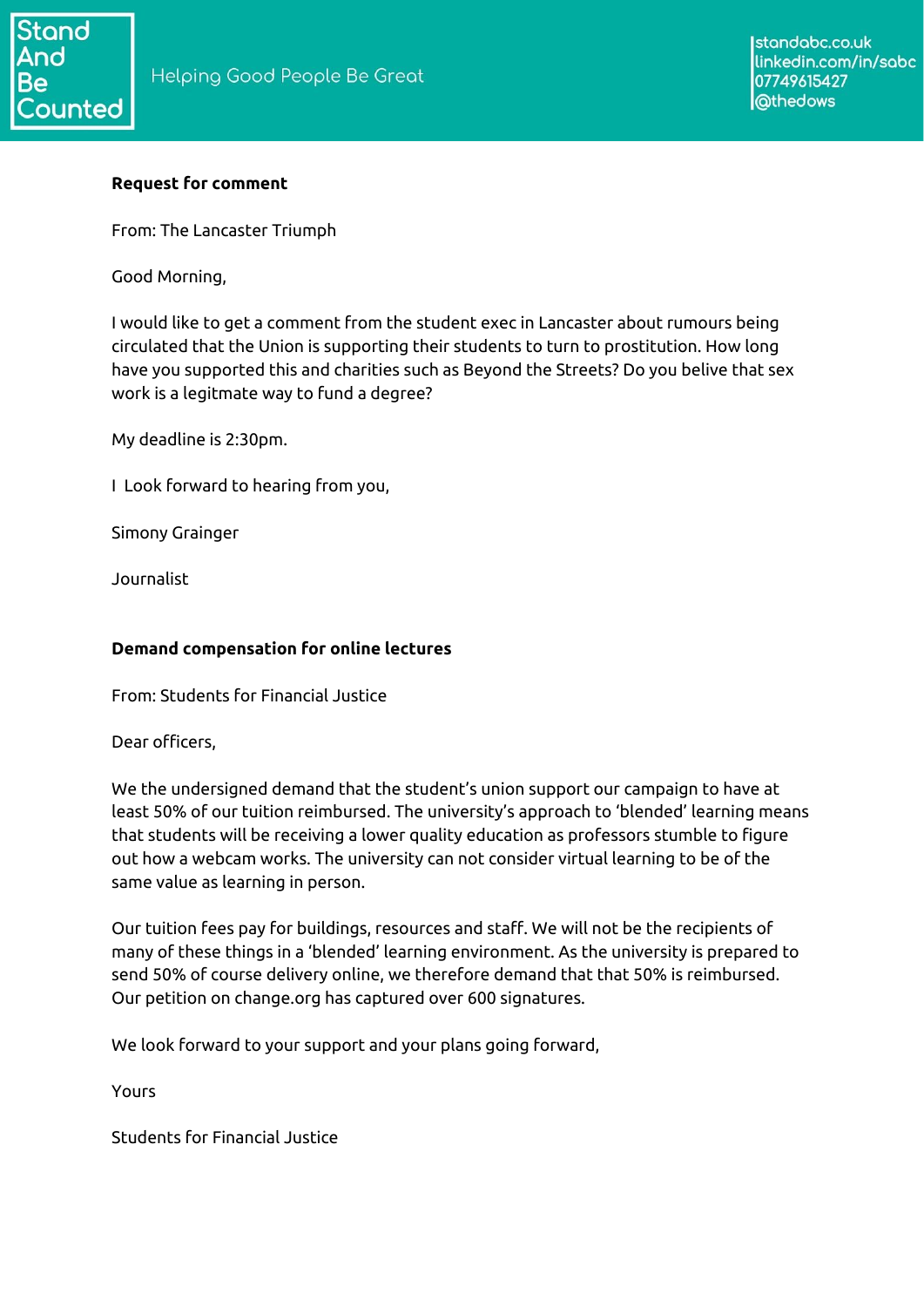# **Request for comment**

From: The Lancaster Triumph

Good Morning,

I would like to get a comment from the student exec in Lancaster about rumours being circulated that the Union is supporting their students to turn to prostitution. How long have you supported this and charities such as Beyond the Streets? Do you belive that sex work is a legitmate way to fund a degree?

My deadline is 2:30pm.

I Look forward to hearing from you,

Simony Grainger

Journalist

## **Demand compensation for online lectures**

From: Students for Financial Justice

Dear officers,

We the undersigned demand that the student's union support our campaign to have at least 50% of our tuition reimbursed. The university's approach to 'blended' learning means that students will be receiving a lower quality education as professors stumble to figure out how a webcam works. The university can not consider virtual learning to be of the same value as learning in person.

Our tuition fees pay for buildings, resources and staff. We will not be the recipients of many of these things in a 'blended' learning environment. As the university is prepared to send 50% of course delivery online, we therefore demand that that 50% is reimbursed. Our petition on change.org has captured over 600 signatures.

We look forward to your support and your plans going forward,

Yours

Students for Financial Justice